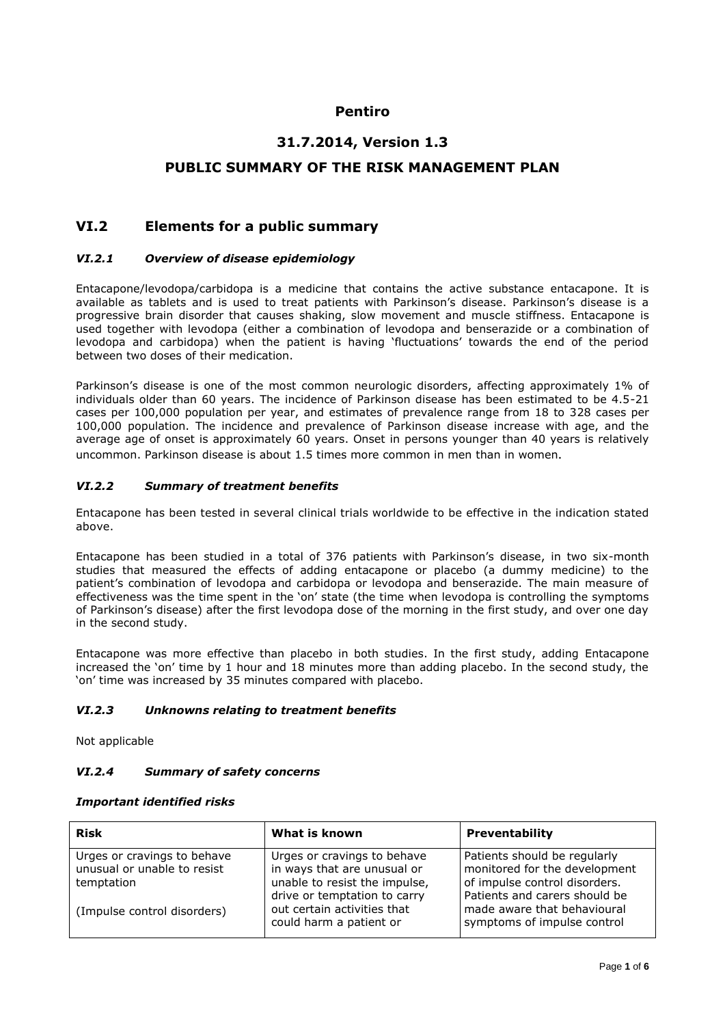# **Pentiro**

# **31.7.2014, Version 1.3**

### **PUBLIC SUMMARY OF THE RISK MANAGEMENT PLAN**

# **VI.2 Elements for a public summary**

#### *VI.2.1 Overview of disease epidemiology*

Entacapone/levodopa/carbidopa is a medicine that contains the active substance entacapone. It is available as tablets and is used to treat patients with Parkinson's disease. Parkinson's disease is a progressive brain disorder that causes shaking, slow movement and muscle stiffness. Entacapone is used together with levodopa (either a combination of levodopa and benserazide or a combination of levodopa and carbidopa) when the patient is having 'fluctuations' towards the end of the period between two doses of their medication.

Parkinson's disease is one of the most common neurologic disorders, affecting approximately 1% of individuals older than 60 years. The incidence of Parkinson disease has been estimated to be 4.5-21 cases per 100,000 population per year, and estimates of prevalence range from 18 to 328 cases per 100,000 population. The incidence and prevalence of Parkinson disease increase with age, and the average age of onset is approximately 60 years. Onset in persons younger than 40 years is relatively uncommon. Parkinson disease is about 1.5 times more common in men than in women.

#### *VI.2.2 Summary of treatment benefits*

Entacapone has been tested in several clinical trials worldwide to be effective in the indication stated above.

Entacapone has been studied in a total of 376 patients with Parkinson's disease, in two six-month studies that measured the effects of adding entacapone or placebo (a dummy medicine) to the patient's combination of levodopa and carbidopa or levodopa and benserazide. The main measure of effectiveness was the time spent in the 'on' state (the time when levodopa is controlling the symptoms of Parkinson's disease) after the first levodopa dose of the morning in the first study, and over one day in the second study.

Entacapone was more effective than placebo in both studies. In the first study, adding Entacapone increased the 'on' time by 1 hour and 18 minutes more than adding placebo. In the second study, the 'on' time was increased by 35 minutes compared with placebo.

#### *VI.2.3 Unknowns relating to treatment benefits*

Not applicable

#### *VI.2.4 Summary of safety concerns*

#### *Important identified risks*

| <b>Risk</b>                                                              | What is known                                                                               | <b>Preventability</b>                                                                          |
|--------------------------------------------------------------------------|---------------------------------------------------------------------------------------------|------------------------------------------------------------------------------------------------|
| Urges or cravings to behave<br>unusual or unable to resist<br>temptation | Urges or cravings to behave<br>in ways that are unusual or<br>unable to resist the impulse, | Patients should be regularly<br>monitored for the development<br>of impulse control disorders. |
| (Impulse control disorders)                                              | drive or temptation to carry<br>out certain activities that<br>could harm a patient or      | Patients and carers should be<br>made aware that behavioural<br>symptoms of impulse control    |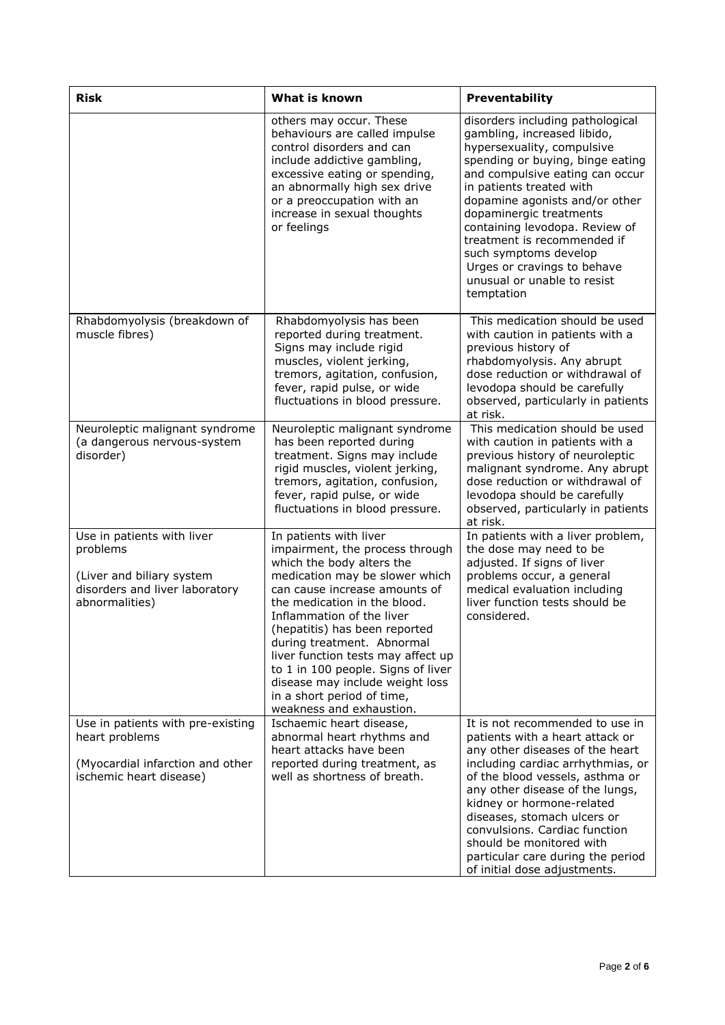| <b>Risk</b>                                                                                                             | What is known                                                                                                                                                                                                                                                                                                                                                                                                                                                  | Preventability                                                                                                                                                                                                                                                                                                                                                                                                                      |
|-------------------------------------------------------------------------------------------------------------------------|----------------------------------------------------------------------------------------------------------------------------------------------------------------------------------------------------------------------------------------------------------------------------------------------------------------------------------------------------------------------------------------------------------------------------------------------------------------|-------------------------------------------------------------------------------------------------------------------------------------------------------------------------------------------------------------------------------------------------------------------------------------------------------------------------------------------------------------------------------------------------------------------------------------|
|                                                                                                                         | others may occur. These<br>behaviours are called impulse<br>control disorders and can<br>include addictive gambling,<br>excessive eating or spending,<br>an abnormally high sex drive<br>or a preoccupation with an<br>increase in sexual thoughts<br>or feelings                                                                                                                                                                                              | disorders including pathological<br>gambling, increased libido,<br>hypersexuality, compulsive<br>spending or buying, binge eating<br>and compulsive eating can occur<br>in patients treated with<br>dopamine agonists and/or other<br>dopaminergic treatments<br>containing levodopa. Review of<br>treatment is recommended if<br>such symptoms develop<br>Urges or cravings to behave<br>unusual or unable to resist<br>temptation |
| Rhabdomyolysis (breakdown of<br>muscle fibres)                                                                          | Rhabdomyolysis has been<br>reported during treatment.<br>Signs may include rigid<br>muscles, violent jerking,<br>tremors, agitation, confusion,<br>fever, rapid pulse, or wide<br>fluctuations in blood pressure.                                                                                                                                                                                                                                              | This medication should be used<br>with caution in patients with a<br>previous history of<br>rhabdomyolysis. Any abrupt<br>dose reduction or withdrawal of<br>levodopa should be carefully<br>observed, particularly in patients<br>at risk.                                                                                                                                                                                         |
| Neuroleptic malignant syndrome<br>(a dangerous nervous-system<br>disorder)                                              | Neuroleptic malignant syndrome<br>has been reported during<br>treatment. Signs may include<br>rigid muscles, violent jerking,<br>tremors, agitation, confusion,<br>fever, rapid pulse, or wide<br>fluctuations in blood pressure.                                                                                                                                                                                                                              | This medication should be used<br>with caution in patients with a<br>previous history of neuroleptic<br>malignant syndrome. Any abrupt<br>dose reduction or withdrawal of<br>levodopa should be carefully<br>observed, particularly in patients<br>at risk.                                                                                                                                                                         |
| Use in patients with liver<br>problems<br>(Liver and biliary system<br>disorders and liver laboratory<br>abnormalities) | In patients with liver<br>impairment, the process through<br>which the body alters the<br>medication may be slower which<br>can cause increase amounts of<br>the medication in the blood.<br>Inflammation of the liver<br>(hepatitis) has been reported<br>during treatment. Abnormal<br>liver function tests may affect up<br>to 1 in 100 people. Signs of liver<br>disease may include weight loss<br>in a short period of time,<br>weakness and exhaustion. | In patients with a liver problem,<br>the dose may need to be<br>adjusted. If signs of liver<br>problems occur, a general<br>medical evaluation including<br>liver function tests should be<br>considered.                                                                                                                                                                                                                           |
| Use in patients with pre-existing<br>heart problems<br>(Myocardial infarction and other<br>ischemic heart disease)      | Ischaemic heart disease,<br>abnormal heart rhythms and<br>heart attacks have been<br>reported during treatment, as<br>well as shortness of breath.                                                                                                                                                                                                                                                                                                             | It is not recommended to use in<br>patients with a heart attack or<br>any other diseases of the heart<br>including cardiac arrhythmias, or<br>of the blood vessels, asthma or<br>any other disease of the lungs,<br>kidney or hormone-related<br>diseases, stomach ulcers or<br>convulsions. Cardiac function<br>should be monitored with<br>particular care during the period<br>of initial dose adjustments.                      |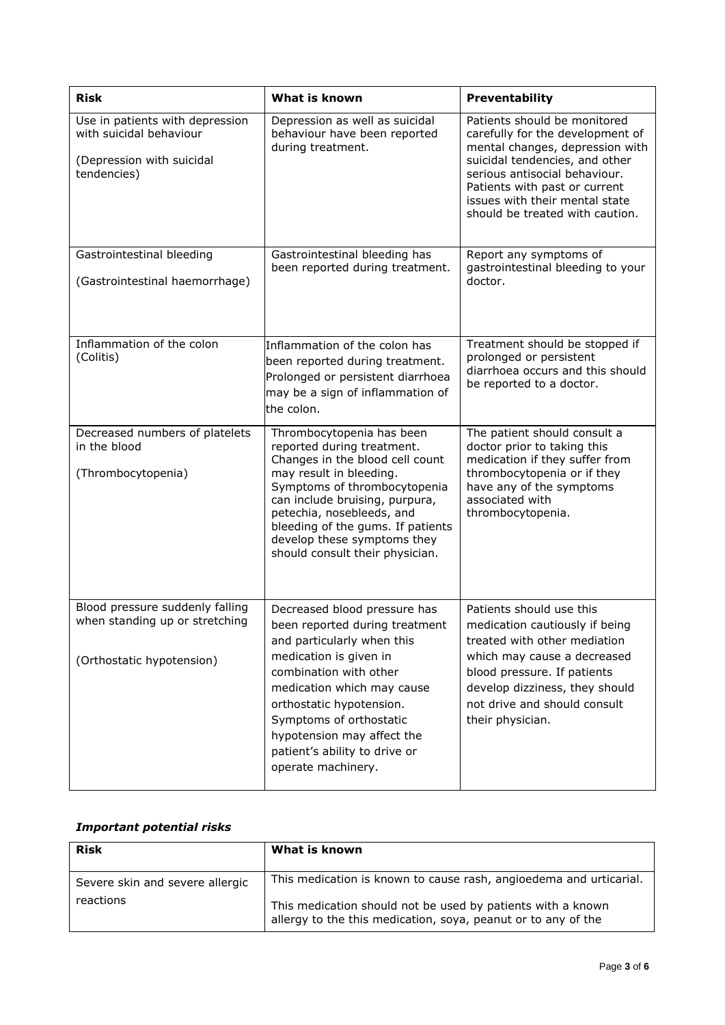| <b>Risk</b>                                                                                            | What is known                                                                                                                                                                                                                                                                                                               | Preventability                                                                                                                                                                                                                                                               |  |
|--------------------------------------------------------------------------------------------------------|-----------------------------------------------------------------------------------------------------------------------------------------------------------------------------------------------------------------------------------------------------------------------------------------------------------------------------|------------------------------------------------------------------------------------------------------------------------------------------------------------------------------------------------------------------------------------------------------------------------------|--|
| Use in patients with depression<br>with suicidal behaviour<br>(Depression with suicidal<br>tendencies) | Depression as well as suicidal<br>behaviour have been reported<br>during treatment.                                                                                                                                                                                                                                         | Patients should be monitored<br>carefully for the development of<br>mental changes, depression with<br>suicidal tendencies, and other<br>serious antisocial behaviour.<br>Patients with past or current<br>issues with their mental state<br>should be treated with caution. |  |
| Gastrointestinal bleeding<br>(Gastrointestinal haemorrhage)                                            | Gastrointestinal bleeding has<br>been reported during treatment.                                                                                                                                                                                                                                                            | Report any symptoms of<br>gastrointestinal bleeding to your<br>doctor.                                                                                                                                                                                                       |  |
| Inflammation of the colon<br>(Colitis)                                                                 | Inflammation of the colon has<br>been reported during treatment.<br>Prolonged or persistent diarrhoea<br>may be a sign of inflammation of<br>the colon.                                                                                                                                                                     | Treatment should be stopped if<br>prolonged or persistent<br>diarrhoea occurs and this should<br>be reported to a doctor.                                                                                                                                                    |  |
| Decreased numbers of platelets<br>in the blood<br>(Thrombocytopenia)                                   | Thrombocytopenia has been<br>reported during treatment.<br>Changes in the blood cell count<br>may result in bleeding.<br>Symptoms of thrombocytopenia<br>can include bruising, purpura,<br>petechia, nosebleeds, and<br>bleeding of the gums. If patients<br>develop these symptoms they<br>should consult their physician. | The patient should consult a<br>doctor prior to taking this<br>medication if they suffer from<br>thrombocytopenia or if they<br>have any of the symptoms<br>associated with<br>thrombocytopenia.                                                                             |  |
| Blood pressure suddenly falling<br>when standing up or stretching<br>(Orthostatic hypotension)         | Decreased blood pressure has<br>been reported during treatment<br>and particularly when this<br>medication is given in<br>combination with other<br>medication which may cause<br>orthostatic hypotension.<br>Symptoms of orthostatic<br>hypotension may affect the<br>patient's ability to drive or<br>operate machinery.  | Patients should use this<br>medication cautiously if being<br>treated with other mediation<br>which may cause a decreased<br>blood pressure. If patients<br>develop dizziness, they should<br>not drive and should consult<br>their physician.                               |  |

## *Important potential risks*

| <b>Risk</b>                     | What is known                                                                                                                |
|---------------------------------|------------------------------------------------------------------------------------------------------------------------------|
| Severe skin and severe allergic | This medication is known to cause rash, angioedema and urticarial.                                                           |
| reactions                       | This medication should not be used by patients with a known<br>allergy to the this medication, soya, peanut or to any of the |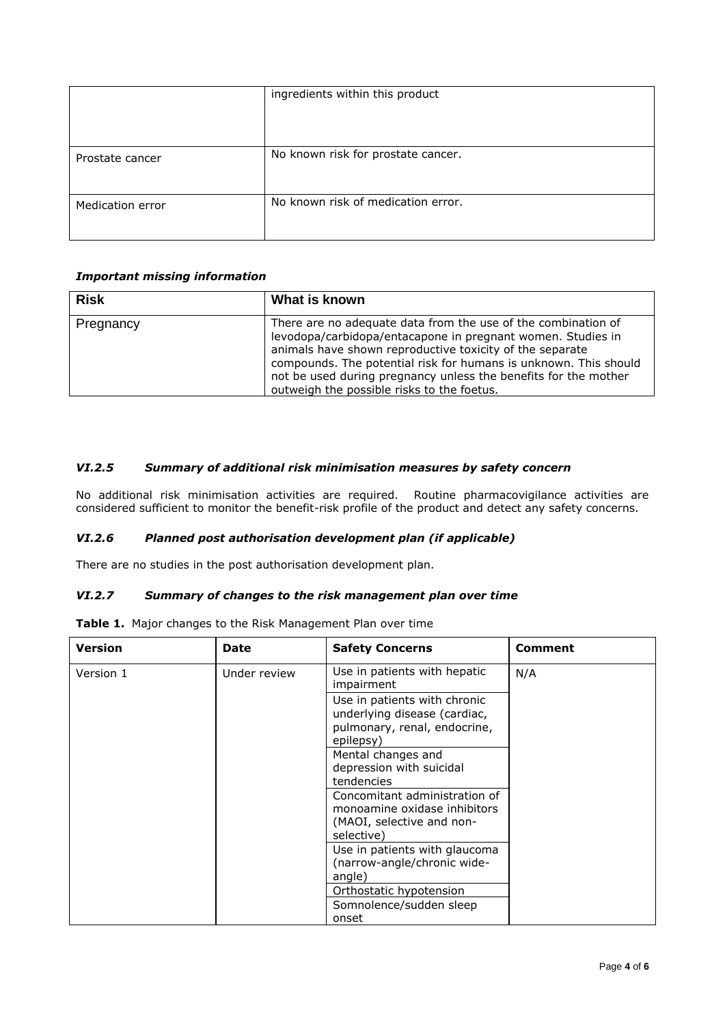|                  | ingredients within this product    |  |
|------------------|------------------------------------|--|
|                  |                                    |  |
|                  |                                    |  |
| Prostate cancer  | No known risk for prostate cancer. |  |
|                  |                                    |  |
| Medication error | No known risk of medication error. |  |
|                  |                                    |  |

### *Important missing information*

| <b>Risk</b> | What is known                                                                                                                                                                                                                                                                                                                                                                 |
|-------------|-------------------------------------------------------------------------------------------------------------------------------------------------------------------------------------------------------------------------------------------------------------------------------------------------------------------------------------------------------------------------------|
| Pregnancy   | There are no adequate data from the use of the combination of<br>levodopa/carbidopa/entacapone in pregnant women. Studies in<br>animals have shown reproductive toxicity of the separate<br>compounds. The potential risk for humans is unknown. This should<br>not be used during pregnancy unless the benefits for the mother<br>outweigh the possible risks to the foetus. |

### *VI.2.5 Summary of additional risk minimisation measures by safety concern*

No additional risk minimisation activities are required. Routine pharmacovigilance activities are considered sufficient to monitor the benefit-risk profile of the product and detect any safety concerns.

### *VI.2.6 Planned post authorisation development plan (if applicable)*

There are no studies in the post authorisation development plan.

#### *VI.2.7 Summary of changes to the risk management plan over time*

**Table 1.** Major changes to the Risk Management Plan over time

| <b>Version</b> | <b>Date</b>  | <b>Safety Concerns</b>                                                                                                          | <b>Comment</b> |
|----------------|--------------|---------------------------------------------------------------------------------------------------------------------------------|----------------|
| Version 1      | Under review | Use in patients with hepatic<br>impairment                                                                                      | N/A            |
|                |              | Use in patients with chronic<br>underlying disease (cardiac,<br>pulmonary, renal, endocrine,<br>epilepsy)<br>Mental changes and |                |
|                |              | depression with suicidal<br>tendencies                                                                                          |                |
|                |              | Concomitant administration of<br>monoamine oxidase inhibitors<br>(MAOI, selective and non-<br>selective)                        |                |
|                |              | Use in patients with glaucoma<br>(narrow-angle/chronic wide-<br>angle)                                                          |                |
|                |              | Orthostatic hypotension                                                                                                         |                |
|                |              | Somnolence/sudden sleep<br>onset                                                                                                |                |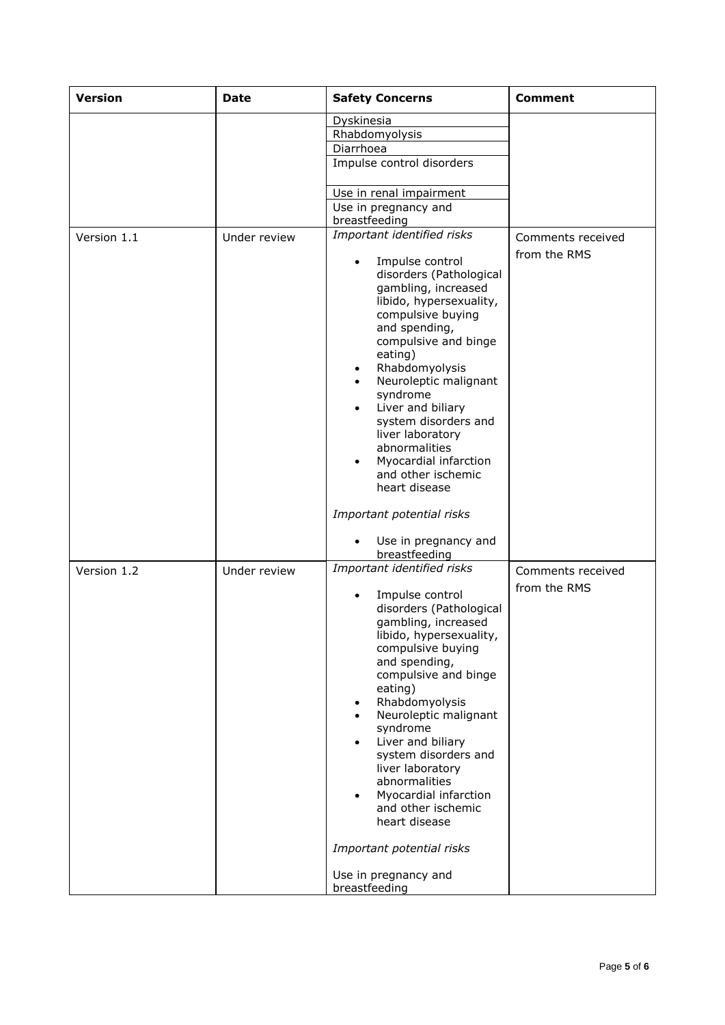| <b>Version</b> | <b>Date</b>  | <b>Safety Concerns</b>                                                                                                                                                                                                                                                                                                                                                                                                                                            | <b>Comment</b>                    |
|----------------|--------------|-------------------------------------------------------------------------------------------------------------------------------------------------------------------------------------------------------------------------------------------------------------------------------------------------------------------------------------------------------------------------------------------------------------------------------------------------------------------|-----------------------------------|
|                |              | Dyskinesia                                                                                                                                                                                                                                                                                                                                                                                                                                                        |                                   |
|                |              | Rhabdomyolysis                                                                                                                                                                                                                                                                                                                                                                                                                                                    |                                   |
|                |              | Diarrhoea                                                                                                                                                                                                                                                                                                                                                                                                                                                         |                                   |
|                |              | Impulse control disorders                                                                                                                                                                                                                                                                                                                                                                                                                                         |                                   |
|                |              | Use in renal impairment                                                                                                                                                                                                                                                                                                                                                                                                                                           |                                   |
|                |              | Use in pregnancy and<br>breastfeeding                                                                                                                                                                                                                                                                                                                                                                                                                             |                                   |
| Version 1.1    | Under review | Important identified risks                                                                                                                                                                                                                                                                                                                                                                                                                                        | Comments received                 |
|                |              | Impulse control<br>disorders (Pathological<br>gambling, increased<br>libido, hypersexuality,<br>compulsive buying<br>and spending,<br>compulsive and binge<br>eating)<br>Rhabdomyolysis<br>Neuroleptic malignant<br>syndrome<br>Liver and biliary<br>$\bullet$<br>system disorders and<br>liver laboratory<br>abnormalities<br>Myocardial infarction<br>and other ischemic<br>heart disease                                                                       | from the RMS                      |
|                |              | Important potential risks                                                                                                                                                                                                                                                                                                                                                                                                                                         |                                   |
|                |              | Use in pregnancy and<br>breastfeeding                                                                                                                                                                                                                                                                                                                                                                                                                             |                                   |
| Version 1.2    | Under review | Important identified risks<br>Impulse control<br>disorders (Pathological<br>gambling, increased<br>libido, hypersexuality,<br>compulsive buying<br>and spending,<br>compulsive and binge<br>eating)<br>Rhabdomyolysis<br>Neuroleptic malignant<br>syndrome<br>Liver and biliary<br>system disorders and<br>liver laboratory<br>abnormalities<br>Myocardial infarction<br>and other ischemic<br>heart disease<br>Important potential risks<br>Use in pregnancy and | Comments received<br>from the RMS |
|                |              | breastfeeding                                                                                                                                                                                                                                                                                                                                                                                                                                                     |                                   |